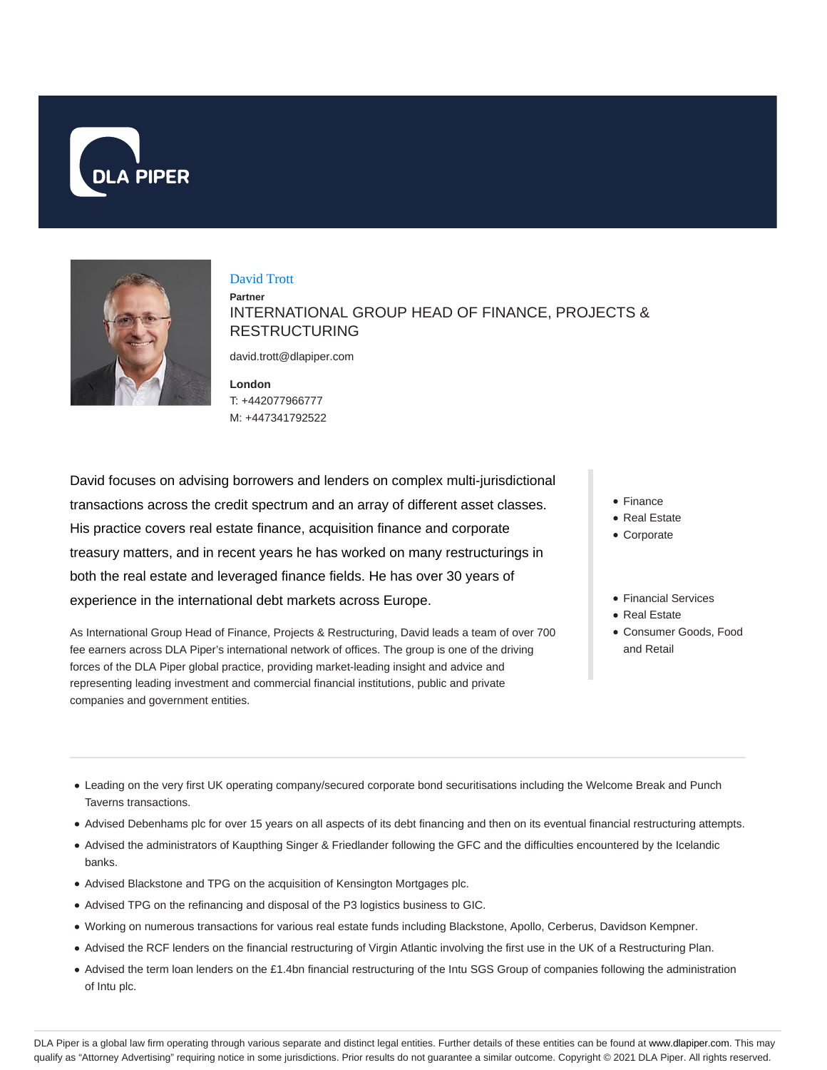



#### David Trott

**Partner** INTERNATIONAL GROUP HEAD OF FINANCE, PROJECTS & RESTRUCTURING

david.trott@dlapiper.com

**London** T: +442077966777 M: +447341792522

David focuses on advising borrowers and lenders on complex multi-jurisdictional transactions across the credit spectrum and an array of different asset classes. His practice covers real estate finance, acquisition finance and corporate treasury matters, and in recent years he has worked on many restructurings in both the real estate and leveraged finance fields. He has over 30 years of experience in the international debt markets across Europe.

As International Group Head of Finance, Projects & Restructuring, David leads a team of over 700 fee earners across DLA Piper's international network of offices. The group is one of the driving forces of the DLA Piper global practice, providing market-leading insight and advice and representing leading investment and commercial financial institutions, public and private companies and government entities.

- Finance
- Real Estate
- Corporate
- Financial Services
- Real Estate
- Consumer Goods, Food and Retail

- Leading on the very first UK operating company/secured corporate bond securitisations including the Welcome Break and Punch Taverns transactions.
- Advised Debenhams plc for over 15 years on all aspects of its debt financing and then on its eventual financial restructuring attempts.
- Advised the administrators of Kaupthing Singer & Friedlander following the GFC and the difficulties encountered by the Icelandic banks.
- Advised Blackstone and TPG on the acquisition of Kensington Mortgages plc.
- Advised TPG on the refinancing and disposal of the P3 logistics business to GIC.
- Working on numerous transactions for various real estate funds including Blackstone, Apollo, Cerberus, Davidson Kempner.
- Advised the RCF lenders on the financial restructuring of Virgin Atlantic involving the first use in the UK of a Restructuring Plan.
- Advised the term loan lenders on the £1.4bn financial restructuring of the Intu SGS Group of companies following the administration of Intu plc.

DLA Piper is a global law firm operating through various separate and distinct legal entities. Further details of these entities can be found at www.dlapiper.com. This may qualify as "Attorney Advertising" requiring notice in some jurisdictions. Prior results do not guarantee a similar outcome. Copyright © 2021 DLA Piper. All rights reserved.